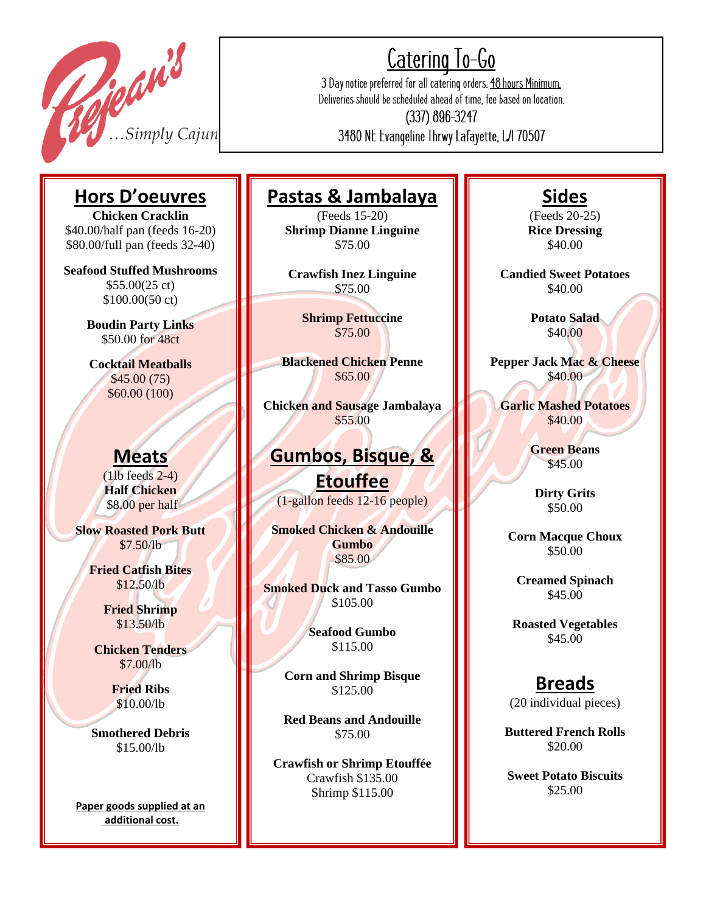

.<br>F

║

║

║

║

║

║

║

║

║

║

║

║

I

║

║

║

║

║

║

I

║

║

║

║

 $\parallel$ 

# <u>Catering To-Go</u>

3 Day notice preferred for all catering orders. 48 hours Minimum. Deliveries should be scheduled ahead of time, fee based on location.

(337) 896-3247 3480 NE Evangeline Thrwy Lafayette, LA 70507

# **Hors D'oeuvres**

**Chicken Cracklin** \$40.00/half pan (feeds 16-20) \$80.00/full pan (feeds 32-40)

**Seafood Stuffed Mushrooms** \$55.00(25 ct) \$100.00(50 ct)

> **Boudin Party Links** \$50.00 for 48ct

**Cocktail Meatballs** \$45.00 (75) \$60.00 (100)

### **Meats**

(1lb feeds 2-4) **Half Chicken**  \$8.00 per half

**Slow Roasted Pork Butt** \$7.50/lb

> **Fried Catfish Bites** \$12.50/lb

> > **Fried Shrimp** \$13.50/lb

**Chicken Tenders** \$7.00/lb

> **Fried Ribs** \$10.00/lb

**Smothered Debris** \$15.00/lb

**Paper goods supplied at an additional cost.**

## **Pastas & Jambalaya**

(Feeds 15-20) **Shrimp Dianne Linguine** \$75.00

**Crawfish Inez Linguine** \$75.00

> **Shrimp Fettuccine** \$75.00

**Blackened Chicken Penne** \$65.00

**Chicken and Sausage Jambalaya** \$55.00

### **Gumbos, Bisque, &**

**Etouffee** (1-gallon feeds 12-16 people)

**Smoked Chicken & Andouille Gumbo** \$85.00

**Smoked Duck and Tasso Gumbo**  \$105.00

> **Seafood Gumbo** \$115.00

**Corn and Shrimp Bisque** \$125.00

**Red Beans and Andouille** \$75.00

**Crawfish or Shrimp Etouffée** Crawfish \$135.00 Shrimp \$115.00

## **Sides**

(Feeds 20-25) **Rice Dressing** \$40.00

**Candied Sweet Potatoes** \$40.00

> **Potato Salad** \$40.00

**Pepper Jack Mac & Cheese** \$40.00

**Garlic Mashed Potatoes** \$40.00

> **Green Beans** \$45.00

**Dirty Grits** \$50.00

**Corn Macque Choux** \$50.00

**Creamed Spinach** \$45.00

**Roasted Vegetables** \$45.00

## **Breads**

(20 individual pieces)

**Buttered French Rolls** \$20.00

**Sweet Potato Biscuits** \$25.00